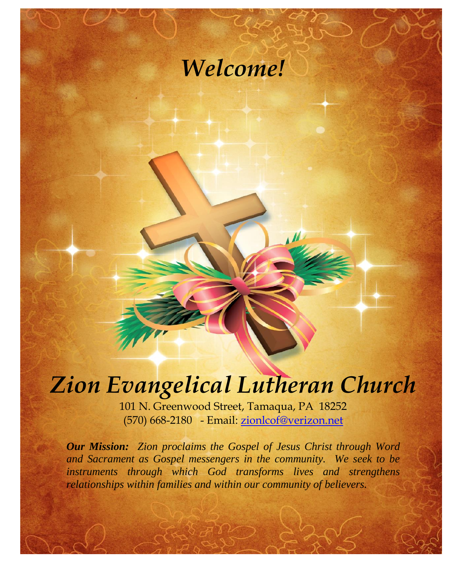# *Welcome!*

# *Zion Evangelical Lutheran Church*

101 N. Greenwood Street, Tamaqua, PA 18252 (570) 668-2180 - Email: [zionlcof@verizon.net](mailto:zionlcof@verizon.net)

*Our Mission: Zion proclaims the Gospel of Jesus Christ through Word and Sacrament as Gospel messengers in the community. We seek to be instruments through which God transforms lives and strengthens relationships within families and within our community of believers.*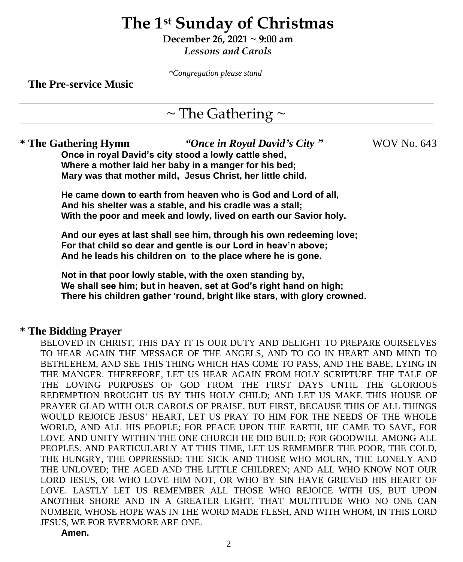# **The 1st Sunday of Christmas**

**December 26, 2021 ~ 9:00 am** *Lessons and Carols*

*\*Congregation please stand*

**The Pre-service Music**

# $\sim$  The Gathering  $\sim$

**\* The Gathering Hymn** *"Once in Royal David's City "* WOV No. 643 **Once in royal David's city stood a lowly cattle shed, Where a mother laid her baby in a manger for his bed; Mary was that mother mild, Jesus Christ, her little child.**

**He came down to earth from heaven who is God and Lord of all, And his shelter was a stable, and his cradle was a stall; With the poor and meek and lowly, lived on earth our Savior holy.**

**And our eyes at last shall see him, through his own redeeming love; For that child so dear and gentle is our Lord in heav'n above; And he leads his children on to the place where he is gone.**

**Not in that poor lowly stable, with the oxen standing by, We shall see him; but in heaven, set at God's right hand on high; There his children gather 'round, bright like stars, with glory crowned.**

### **\* The Bidding Prayer**

BELOVED IN CHRIST, THIS DAY IT IS OUR DUTY AND DELIGHT TO PREPARE OURSELVES TO HEAR AGAIN THE MESSAGE OF THE ANGELS, AND TO GO IN HEART AND MIND TO BETHLEHEM, AND SEE THIS THING WHICH HAS COME TO PASS, AND THE BABE, LYING IN THE MANGER. THEREFORE, LET US HEAR AGAIN FROM HOLY SCRIPTURE THE TALE OF THE LOVING PURPOSES OF GOD FROM THE FIRST DAYS UNTIL THE GLORIOUS REDEMPTION BROUGHT US BY THIS HOLY CHILD; AND LET US MAKE THIS HOUSE OF PRAYER GLAD WITH OUR CAROLS OF PRAISE. BUT FIRST, BECAUSE THIS OF ALL THINGS WOULD REJOICE JESUS' HEART, LET US PRAY TO HIM FOR THE NEEDS OF THE WHOLE WORLD, AND ALL HIS PEOPLE; FOR PEACE UPON THE EARTH, HE CAME TO SAVE, FOR LOVE AND UNITY WITHIN THE ONE CHURCH HE DID BUILD; FOR GOODWILL AMONG ALL PEOPLES. AND PARTICULARLY AT THIS TIME, LET US REMEMBER THE POOR, THE COLD, THE HUNGRY, THE OPPRESSED; THE SICK AND THOSE WHO MOURN, THE LONELY AND THE UNLOVED; THE AGED AND THE LITTLE CHILDREN; AND ALL WHO KNOW NOT OUR LORD JESUS, OR WHO LOVE HIM NOT, OR WHO BY SIN HAVE GRIEVED HIS HEART OF LOVE. LASTLY LET US REMEMBER ALL THOSE WHO REJOICE WITH US, BUT UPON ANOTHER SHORE AND IN A GREATER LIGHT, THAT MULTITUDE WHO NO ONE CAN NUMBER, WHOSE HOPE WAS IN THE WORD MADE FLESH, AND WITH WHOM, IN THIS LORD JESUS, WE FOR EVERMORE ARE ONE.

**Amen.**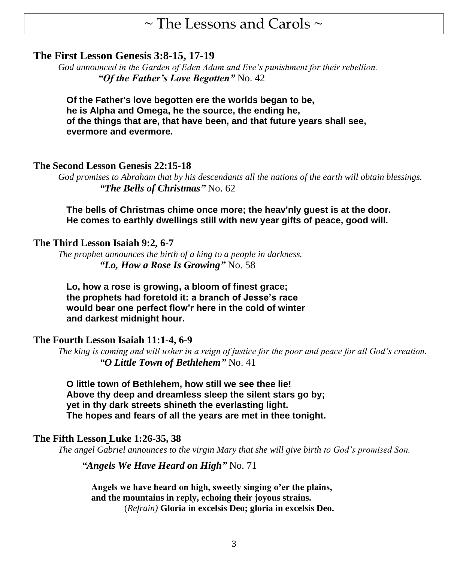# $\sim$  The Lessons and Carols  $\sim$

### **The First Lesson Genesis 3:8-15, 17-19**

*God announced in the Garden of Eden Adam and Eve's punishment for their rebellion. "Of the Father's Love Begotten"* No. 42

**Of the Father's love begotten ere the worlds began to be, he is Alpha and Omega, he the source, the ending he, of the things that are, that have been, and that future years shall see, evermore and evermore.**

### **The Second Lesson Genesis 22:15-18**

*God promises to Abraham that by his descendants all the nations of the earth will obtain blessings. "The Bells of Christmas"* No. 62

**The bells of Christmas chime once more; the heav'nly guest is at the door. He comes to earthly dwellings still with new year gifts of peace, good will.**

### **The Third Lesson Isaiah 9:2, 6-7**

*The prophet announces the birth of a king to a people in darkness. "Lo, How a Rose Is Growing"* No. 58

**Lo, how a rose is growing, a bloom of finest grace; the prophets had foretold it: a branch of Jesse's race would bear one perfect flow'r here in the cold of winter and darkest midnight hour.**

### **The Fourth Lesson Isaiah 11:1-4, 6-9**

*The king is coming and will usher in a reign of justice for the poor and peace for all God's creation. "O Little Town of Bethlehem"* No. 41

**O little town of Bethlehem, how still we see thee lie! Above thy deep and dreamless sleep the silent stars go by; yet in thy dark streets shineth the everlasting light. The hopes and fears of all the years are met in thee tonight.**

### **The Fifth Lesson Luke 1:26-35, 38**

*The angel Gabriel announces to the virgin Mary that she will give birth to God's promised Son.*

*"Angels We Have Heard on High"* No. 71

**Angels we have heard on high, sweetly singing o'er the plains, and the mountains in reply, echoing their joyous strains.** (*Refrain)* **Gloria in excelsis Deo; gloria in excelsis Deo.**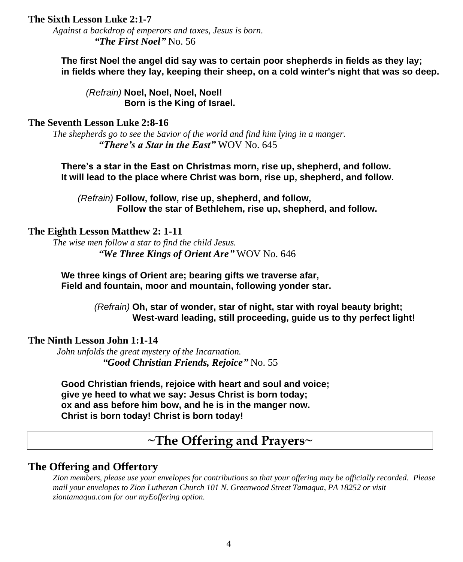### **The Sixth Lesson Luke 2:1-7**

*Against a backdrop of emperors and taxes, Jesus is born. "The First Noel"* No. 56

**The first Noel the angel did say was to certain poor shepherds in fields as they lay; in fields where they lay, keeping their sheep, on a cold winter's night that was so deep.**

*(Refrain)* **Noel, Noel, Noel, Noel! Born is the King of Israel.**

### **The Seventh Lesson Luke 2:8-16**

*The shepherds go to see the Savior of the world and find him lying in a manger. "There's a Star in the East"* WOV No. 645

**There's a star in the East on Christmas morn, rise up, shepherd, and follow. It will lead to the place where Christ was born, rise up, shepherd, and follow.**

*(Refrain)* **Follow, follow, rise up, shepherd, and follow, Follow the star of Bethlehem, rise up, shepherd, and follow.**

### **The Eighth Lesson Matthew 2: 1-11**

*The wise men follow a star to find the child Jesus. "We Three Kings of Orient Are"* WOV No. 646

**We three kings of Orient are; bearing gifts we traverse afar, Field and fountain, moor and mountain, following yonder star.**

> *(Refrain)* **Oh, star of wonder, star of night, star with royal beauty bright; West-ward leading, still proceeding, guide us to thy perfect light!**

### **The Ninth Lesson John 1:1-14**

*John unfolds the great mystery of the Incarnation. "Good Christian Friends, Rejoice"* No. 55

**Good Christian friends, rejoice with heart and soul and voice; give ye heed to what we say: Jesus Christ is born today; ox and ass before him bow, and he is in the manger now. Christ is born today! Christ is born today!**

# **~The Offering and Prayers~**

### **The Offering and Offertory**

*Zion members, please use your envelopes for contributions so that your offering may be officially recorded. Please mail your envelopes to Zion Lutheran Church 101 N. Greenwood Street Tamaqua, PA 18252 or visit ziontamaqua.com for our myEoffering option.*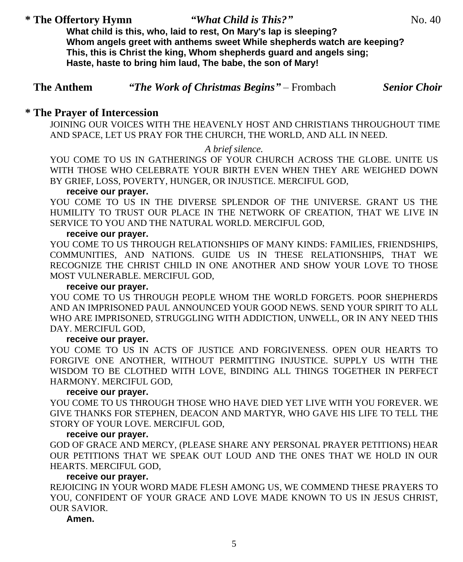### \* **The Offertory Hymn** *"What Child is This?"* **No. 40**

**What child is this, who, laid to rest, On Mary's lap is sleeping? Whom angels greet with anthems sweet While shepherds watch are keeping? This, this is Christ the king, Whom shepherds guard and angels sing; Haste, haste to bring him laud, The babe, the son of Mary!**

| <b>The Anthem</b> | "The Work of Christmas Begins" – Frombach | <b>Senior Choir</b> |
|-------------------|-------------------------------------------|---------------------|
|-------------------|-------------------------------------------|---------------------|

### **\* The Prayer of Intercession**

JOINING OUR VOICES WITH THE HEAVENLY HOST AND CHRISTIANS THROUGHOUT TIME AND SPACE, LET US PRAY FOR THE CHURCH, THE WORLD, AND ALL IN NEED.

### *A brief silence.*

YOU COME TO US IN GATHERINGS OF YOUR CHURCH ACROSS THE GLOBE. UNITE US WITH THOSE WHO CELEBRATE YOUR BIRTH EVEN WHEN THEY ARE WEIGHED DOWN BY GRIEF, LOSS, POVERTY, HUNGER, OR INJUSTICE. MERCIFUL GOD,

### **receive our prayer.**

YOU COME TO US IN THE DIVERSE SPLENDOR OF THE UNIVERSE. GRANT US THE HUMILITY TO TRUST OUR PLACE IN THE NETWORK OF CREATION, THAT WE LIVE IN SERVICE TO YOU AND THE NATURAL WORLD. MERCIFUL GOD,

### **receive our prayer.**

YOU COME TO US THROUGH RELATIONSHIPS OF MANY KINDS: FAMILIES, FRIENDSHIPS, COMMUNITIES, AND NATIONS. GUIDE US IN THESE RELATIONSHIPS, THAT WE RECOGNIZE THE CHRIST CHILD IN ONE ANOTHER AND SHOW YOUR LOVE TO THOSE MOST VULNERABLE. MERCIFUL GOD,

### **receive our prayer.**

YOU COME TO US THROUGH PEOPLE WHOM THE WORLD FORGETS. POOR SHEPHERDS AND AN IMPRISONED PAUL ANNOUNCED YOUR GOOD NEWS. SEND YOUR SPIRIT TO ALL WHO ARE IMPRISONED, STRUGGLING WITH ADDICTION, UNWELL, OR IN ANY NEED THIS DAY. MERCIFUL GOD,

### **receive our prayer.**

YOU COME TO US IN ACTS OF JUSTICE AND FORGIVENESS. OPEN OUR HEARTS TO FORGIVE ONE ANOTHER, WITHOUT PERMITTING INJUSTICE. SUPPLY US WITH THE WISDOM TO BE CLOTHED WITH LOVE, BINDING ALL THINGS TOGETHER IN PERFECT HARMONY. MERCIFUL GOD,

### **receive our prayer.**

YOU COME TO US THROUGH THOSE WHO HAVE DIED YET LIVE WITH YOU FOREVER. WE GIVE THANKS FOR STEPHEN, DEACON AND MARTYR, WHO GAVE HIS LIFE TO TELL THE STORY OF YOUR LOVE. MERCIFUL GOD,

### **receive our prayer.**

GOD OF GRACE AND MERCY, (PLEASE SHARE ANY PERSONAL PRAYER PETITIONS) HEAR OUR PETITIONS THAT WE SPEAK OUT LOUD AND THE ONES THAT WE HOLD IN OUR HEARTS. MERCIFUL GOD,

### **receive our prayer.**

REJOICING IN YOUR WORD MADE FLESH AMONG US, WE COMMEND THESE PRAYERS TO YOU, CONFIDENT OF YOUR GRACE AND LOVE MADE KNOWN TO US IN JESUS CHRIST, OUR SAVIOR.

### **Amen.**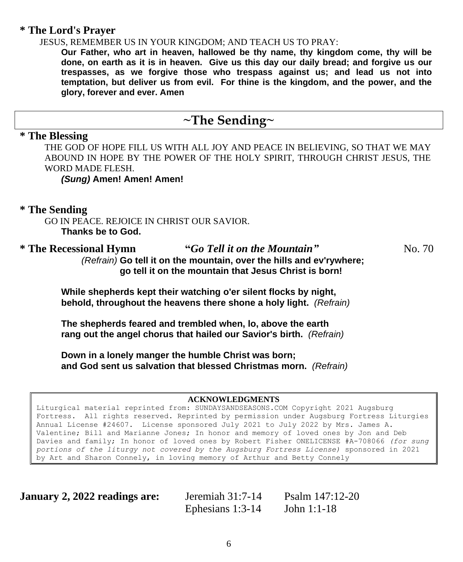### **\* The Lord's Prayer**

JESUS, REMEMBER US IN YOUR KINGDOM; AND TEACH US TO PRAY:

**Our Father, who art in heaven, hallowed be thy name, thy kingdom come, thy will be done, on earth as it is in heaven. Give us this day our daily bread; and forgive us our trespasses, as we forgive those who trespass against us; and lead us not into temptation, but deliver us from evil. For thine is the kingdom, and the power, and the glory, forever and ever. Amen**

## **~The Sending~**

### **\* The Blessing**

THE GOD OF HOPE FILL US WITH ALL JOY AND PEACE IN BELIEVING, SO THAT WE MAY ABOUND IN HOPE BY THE POWER OF THE HOLY SPIRIT, THROUGH CHRIST JESUS, THE WORD MADE FLESH.

*(Sung)* **Amen! Amen! Amen!**

### **\* The Sending**

GO IN PEACE. REJOICE IN CHRIST OUR SAVIOR. **Thanks be to God.**

\* The Recessional Hymn "*Go Tell it on the Mountain*" No. 70  *(Refrain)* **Go tell it on the mountain, over the hills and ev'rywhere; go tell it on the mountain that Jesus Christ is born!**

**While shepherds kept their watching o'er silent flocks by night, behold, throughout the heavens there shone a holy light.** *(Refrain)*

**The shepherds feared and trembled when, lo, above the earth rang out the angel chorus that hailed our Savior's birth.** *(Refrain)*

**Down in a lonely manger the humble Christ was born; and God sent us salvation that blessed Christmas morn.** *(Refrain)*

### **ACKNOWLEDGMENTS**

Liturgical material reprinted from: SUNDAYSANDSEASONS.COM Copyright 2021 Augsburg Fortress. All rights reserved. Reprinted by permission under Augsburg Fortress Liturgies Annual License #24607. License sponsored July 2021 to July 2022 by Mrs. James A. Valentine; Bill and Marianne Jones; In honor and memory of loved ones by Jon and Deb Davies and family; In honor of loved ones by Robert Fisher ONELICENSE #A-708066 *(for sung portions of the liturgy not covered by the Augsburg Fortress License)* sponsored in 2021 by Art and Sharon Connely, in loving memory of Arthur and Betty Connely

**January 2, 2022 readings are:** Jeremiah 31:7-14 Psalm 147:12-20

Ephesians 1:3-14 John 1:1-18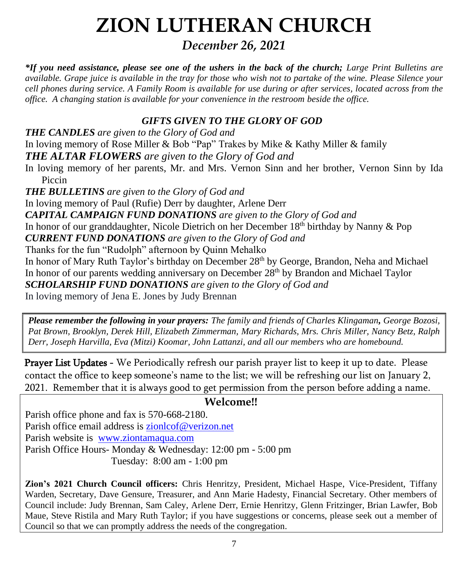# **ZION LUTHERAN CHURCH**

*December 26, 2021*

*\*If you need assistance, please see one of the ushers in the back of the church; Large Print Bulletins are available. Grape juice is available in the tray for those who wish not to partake of the wine. Please Silence your cell phones during service. A Family Room is available for use during or after services, located across from the office. A changing station is available for your convenience in the restroom beside the office.*

### *GIFTS GIVEN TO THE GLORY OF GOD*

*THE CANDLES are given to the Glory of God and* In loving memory of Rose Miller & Bob "Pap" Trakes by Mike & Kathy Miller & family *THE ALTAR FLOWERS are given to the Glory of God and* In loving memory of her parents, Mr. and Mrs. Vernon Sinn and her brother, Vernon Sinn by Ida Piccin *THE BULLETINS are given to the Glory of God and* In loving memory of Paul (Rufie) Derr by daughter, Arlene Derr *CAPITAL CAMPAIGN FUND DONATIONS are given to the Glory of God and* In honor of our granddaughter, Nicole Dietrich on her December 18<sup>th</sup> birthday by Nanny & Pop *CURRENT FUND DONATIONS are given to the Glory of God and* Thanks for the fun "Rudolph" afternoon by Quinn Mehalko In honor of Mary Ruth Taylor's birthday on December 28<sup>th</sup> by George, Brandon, Neha and Michael In honor of our parents wedding anniversary on December  $28<sup>th</sup>$  by Brandon and Michael Taylor *SCHOLARSHIP FUND DONATIONS are given to the Glory of God and* In loving memory of Jena E. Jones by Judy Brennan

*Please remember the following in your prayers: The family and friends of Charles Klingaman, George Bozosi, Pat Brown, Brooklyn, Derek Hill, Elizabeth Zimmerman, Mary Richards, Mrs. Chris Miller, Nancy Betz, Ralph Derr, Joseph Harvilla, Eva (Mitzi) Koomar, John Lattanzi, and all our members who are homebound.*

Prayer List Updates - We Periodically refresh our parish prayer list to keep it up to date. Please contact the office to keep someone's name to the list; we will be refreshing our list on January 2, 2021. Remember that it is always good to get permission from the person before adding a name.

### **Welcome!!**

Parish office phone and fax is 570-668-2180. Parish office email address is [zionlcof@verizon.net](mailto:zionlcof@verizon.net) Parish website is [www.ziontamaqua.com](http://www.ziontamaqua.com/) Parish Office Hours- Monday & Wednesday: 12:00 pm - 5:00 pm Tuesday: 8:00 am - 1:00 pm

**Zion's 2021 Church Council officers:** Chris Henritzy, President, Michael Haspe, Vice-President, Tiffany Warden, Secretary, Dave Gensure, Treasurer, and Ann Marie Hadesty, Financial Secretary. Other members of Council include: Judy Brennan, Sam Caley, Arlene Derr, Ernie Henritzy, Glenn Fritzinger, Brian Lawfer, Bob Maue, Steve Ristila and Mary Ruth Taylor; if you have suggestions or concerns, please seek out a member of Council so that we can promptly address the needs of the congregation.